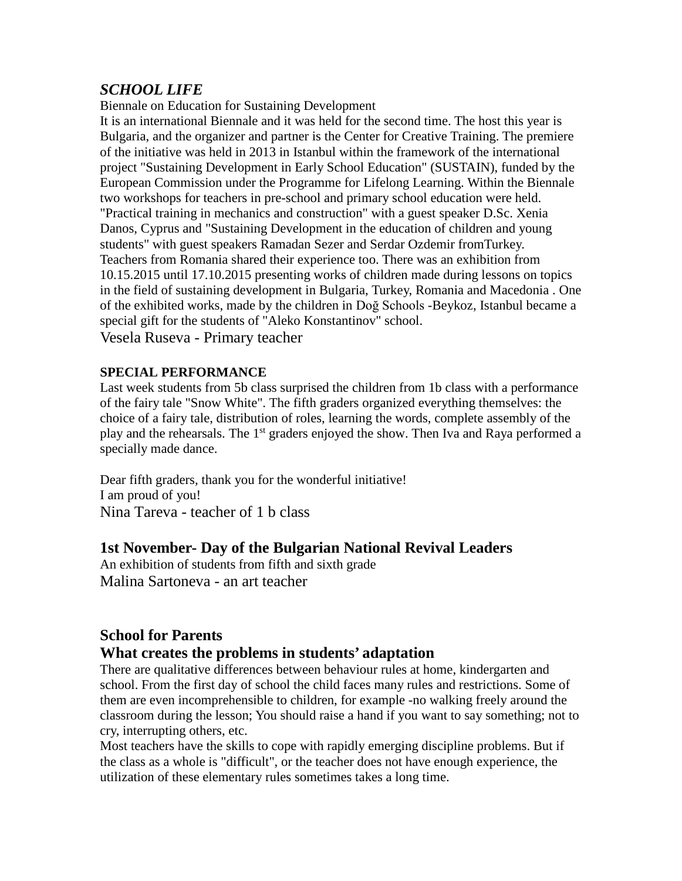## *SCHOOL LIFE*

Biennale on Education for Sustaining Development

It is an international Biennale and it was held for the second time. The host this year is Bulgaria, and the organizer and partner is the Center for Creative Training. The premiere of the initiative was held in 2013 in Istanbul within the framework of the international project "Sustaining Development in Early School Education" (SUSTAIN), funded by the European Commission under the Programme for Lifelong Learning. Within the Biennale two workshops for teachers in pre-school and primary school education were held. "Practical training in mechanics and construction" with a guest speaker D.Sc. Xenia Danos, Cyprus and "Sustaining Development in the education of children and young students" with guest speakers Ramadan Sezer and Serdar Ozdemir fromTurkey. Teachers from Romania shared their experience too. There was an exhibition from 10.15.2015 until 17.10.2015 presenting works of children made during lessons on topics in the field of sustaining development in Bulgaria, Turkey, Romania and Macedonia . One of the exhibited works, made by the children in Doğ Schools -Beykoz, Istanbul became a special gift for the students of "Aleko Konstantinov" school.

Vesela Ruseva - Primary teacher

#### **SPECIAL PERFORMANCE**

Last week students from 5b class surprised the children from 1b class with a performance of the fairy tale "Snow White". The fifth graders organized everything themselves: the choice of a fairy tale, distribution of roles, learning the words, complete assembly of the play and the rehearsals. The 1<sup>st</sup> graders enjoyed the show. Then Iva and Raya performed a specially made dance.

Dear fifth graders, thank you for the wonderful initiative! I am proud of you! Nina Tareva - teacher of 1 b class

## **1st November- Day of the Bulgarian National Revival Leaders**

An exhibition of students from fifth and sixth grade Malina Sartoneva - an art teacher

## **School for Parents**

## **What creates the problems in students' adaptation**

There are qualitative differences between behaviour rules at home, kindergarten and school. From the first day of school the child faces many rules and restrictions. Some of them are even incomprehensible to children, for example -no walking freely around the classroom during the lesson; You should raise a hand if you want to say something; not to cry, interrupting others, etc.

Most teachers have the skills to cope with rapidly emerging discipline problems. But if the class as a whole is "difficult", or the teacher does not have enough experience, the utilization of these elementary rules sometimes takes a long time.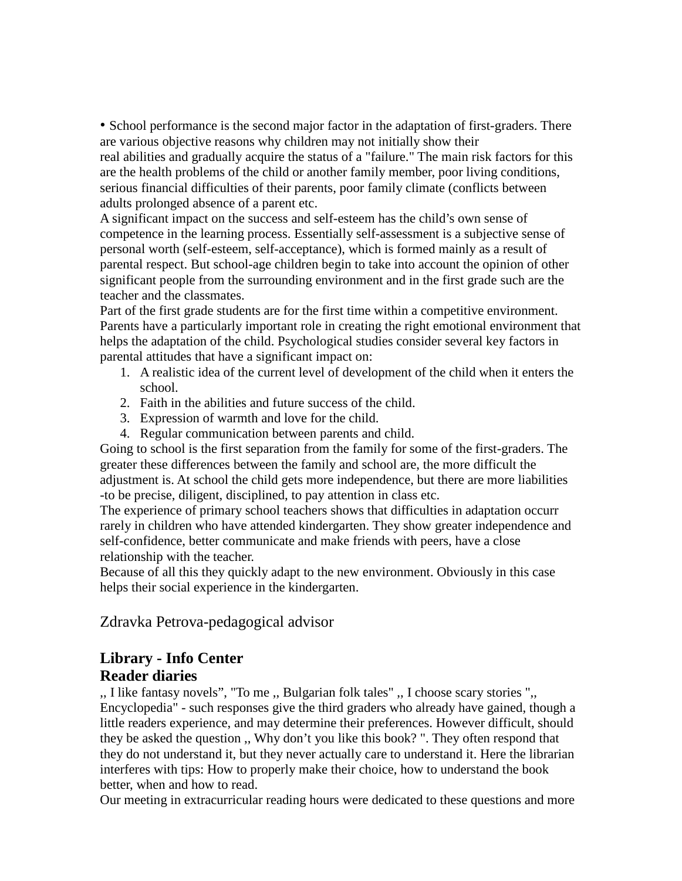• School performance is the second major factor in the adaptation of first-graders. There are various objective reasons why children may not initially show their

real abilities and gradually acquire the status of a "failure." The main risk factors for this are the health problems of the child or another family member, poor living conditions, serious financial difficulties of their parents, poor family climate (conflicts between adults prolonged absence of a parent etc.

A significant impact on the success and self-esteem has the child's own sense of competence in the learning process. Essentially self-assessment is a subjective sense of personal worth (self-esteem, self-acceptance), which is formed mainly as a result of parental respect. But school-age children begin to take into account the opinion of other significant people from the surrounding environment and in the first grade such are the teacher and the classmates.

Part of the first grade students are for the first time within a competitive environment. Parents have a particularly important role in creating the right emotional environment that helps the adaptation of the child. Psychological studies consider several key factors in parental attitudes that have a significant impact on:

- 1. A realistic idea of the current level of development of the child when it enters the school.
- 2. Faith in the abilities and future success of the child.
- 3. Expression of warmth and love for the child.
- 4. Regular communication between parents and child.

Going to school is the first separation from the family for some of the first-graders. The greater these differences between the family and school are, the more difficult the adjustment is. At school the child gets more independence, but there are more liabilities -to be precise, diligent, disciplined, to pay attention in class etc.

The experience of primary school teachers shows that difficulties in adaptation occurr rarely in children who have attended kindergarten. They show greater independence and self-confidence, better communicate and make friends with peers, have a close relationship with the teacher.

Because of all this they quickly adapt to the new environment. Obviously in this case helps their social experience in the kindergarten.

Zdravka Petrova-pedagogical advisor

## **Library - Info Center Reader diaries**

,, I like fantasy novels", "To me ,, Bulgarian folk tales" ,, I choose scary stories ",, Encyclopedia" - such responses give the third graders who already have gained, though a little readers experience, and may determine their preferences. However difficult, should they be asked the question ,, Why don't you like this book? ". They often respond that they do not understand it, but they never actually care to understand it. Here the librarian interferes with tips: How to properly make their choice, how to understand the book better, when and how to read.

Our meeting in extracurricular reading hours were dedicated to these questions and more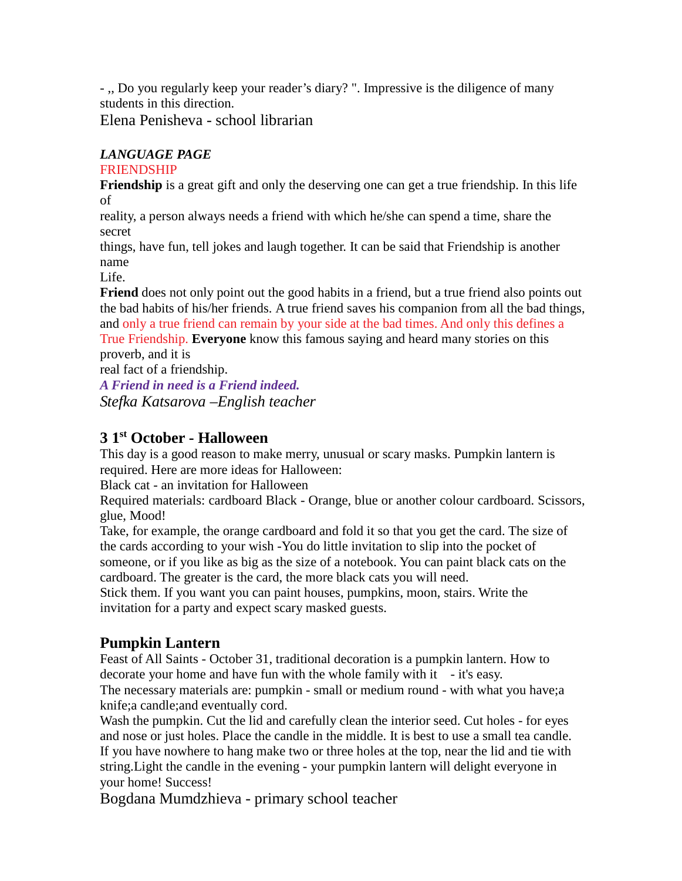- ,, Do you regularly keep your reader's diary? ". Impressive is the diligence of many students in this direction.

Elena Penisheva - school librarian

### *LANGUAGE PAGE*

#### FRIENDSHIP

**Friendship** is a great gift and only the deserving one can get a true friendship. In this life of

reality, a person always needs a friend with which he/she can spend a time, share the secret

things, have fun, tell jokes and laugh together. It can be said that Friendship is another name

Life.

**Friend** does not only point out the good habits in a friend, but a true friend also points out the bad habits of his/her friends. A true friend saves his companion from all the bad things, and only a true friend can remain by your side at the bad times. And only this defines a True Friendship. **Everyone** know this famous saying and heard many stories on this proverb, and it is

real fact of a friendship.

*A Friend in need is a Friend indeed. Stefka Katsarova –English teacher*

# **3 1st October - Halloween**

This day is a good reason to make merry, unusual or scary masks. Pumpkin lantern is required. Here are more ideas for Halloween:

Black cat - an invitation for Halloween

Required materials: cardboard Black - Orange, blue or another colour cardboard. Scissors, glue, Mood!

Take, for example, the orange cardboard and fold it so that you get the card. The size of the cards according to your wish -You do little invitation to slip into the pocket of someone, or if you like as big as the size of a notebook. You can paint black cats on the cardboard. The greater is the card, the more black cats you will need.

Stick them. If you want you can paint houses, pumpkins, moon, stairs. Write the invitation for a party and expect scary masked guests.

## **Pumpkin Lantern**

Feast of All Saints - October 31, traditional decoration is a pumpkin lantern. How to decorate your home and have fun with the whole family with it - it's easy. The necessary materials are: pumpkin - small or medium round - with what you have;a knife;a candle;and eventually cord.

Wash the pumpkin. Cut the lid and carefully clean the interior seed. Cut holes - for eyes and nose or just holes. Place the candle in the middle. It is best to use a small tea candle. If you have nowhere to hang make two or three holes at the top, near the lid and tie with string.Light the candle in the evening - your pumpkin lantern will delight everyone in your home! Success!

Bogdana Mumdzhieva - primary school teacher